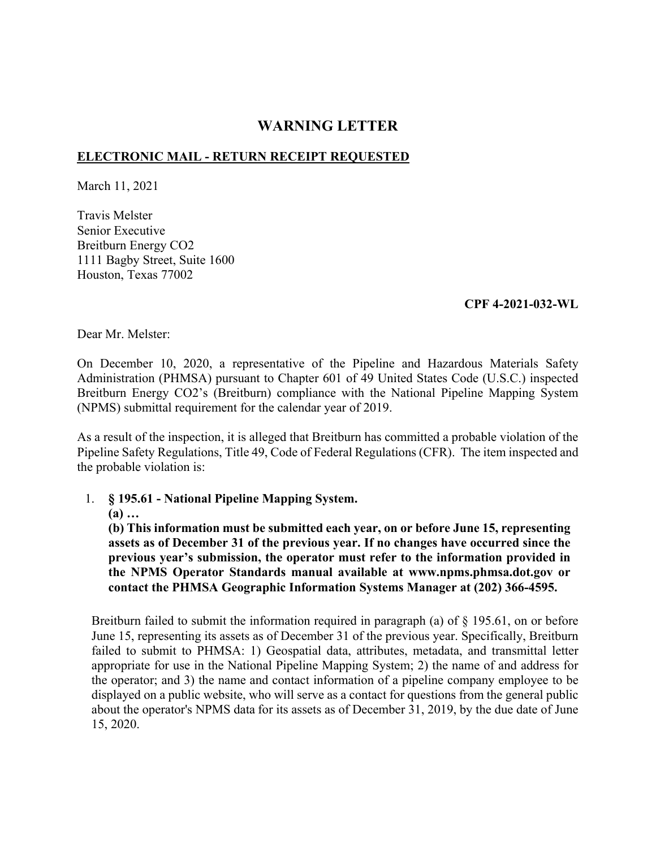## **WARNING LETTER**

## **ELECTRONIC MAIL - RETURN RECEIPT REQUESTED**

March 11, 2021

Travis Melster Senior Executive Breitburn Energy CO2 1111 Bagby Street, Suite 1600 Houston, Texas 77002

## **CPF 4-2021-032-WL**

Dear Mr. Melster:

On December 10, 2020, a representative of the Pipeline and Hazardous Materials Safety Administration (PHMSA) pursuant to Chapter 601 of 49 United States Code (U.S.C.) inspected Breitburn Energy CO2's (Breitburn) compliance with the National Pipeline Mapping System (NPMS) submittal requirement for the calendar year of 2019.

As a result of the inspection, it is alleged that Breitburn has committed a probable violation of the Pipeline Safety Regulations, Title 49, Code of Federal Regulations (CFR). The item inspected and the probable violation is:

1. **§ 195.61 - National Pipeline Mapping System.** 

**(a) …** 

**(b) This information must be submitted each year, on or before June 15, representing assets as of December 31 of the previous year. If no changes have occurred since the previous year's submission, the operator must refer to the information provided in the NPMS Operator Standards manual available at <www.npms.phmsa.dot.gov> or contact the PHMSA Geographic Information Systems Manager at (202) 366-4595.** 

Breitburn failed to submit the information required in paragraph (a) of § 195.61, on or before June 15, representing its assets as of December 31 of the previous year. Specifically, Breitburn failed to submit to PHMSA: 1) Geospatial data, attributes, metadata, and transmittal letter appropriate for use in the National Pipeline Mapping System; 2) the name of and address for the operator; and 3) the name and contact information of a pipeline company employee to be displayed on a public website, who will serve as a contact for questions from the general public about the operator's NPMS data for its assets as of December 31, 2019, by the due date of June 15, 2020.